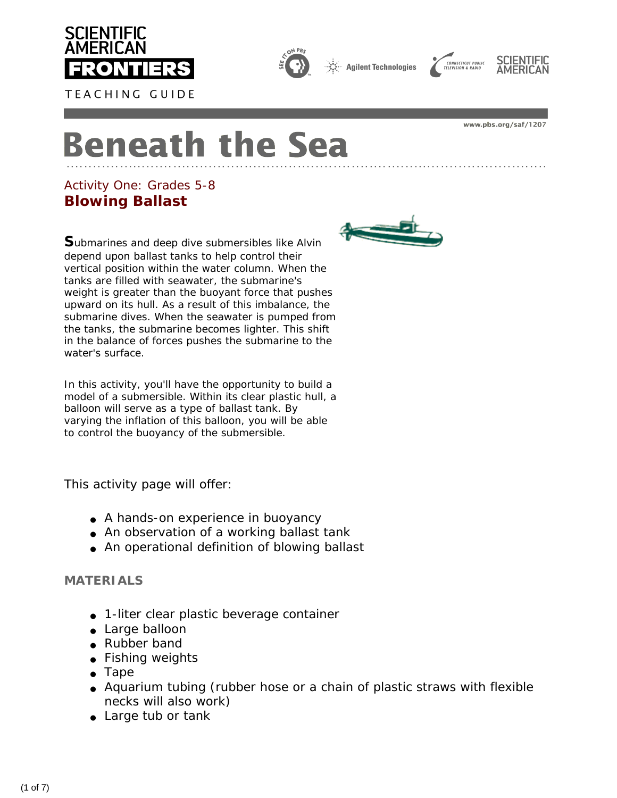









www.pbs.org/saf/1207

# **Beneath the Sea**

# *Activity One: Grades 5-8* **Blowing Ballast**

**S**ubmarines and deep dive submersibles like *Alvin*  depend upon ballast tanks to help control their vertical position within the water column. When the tanks are filled with seawater, the submarine's weight is greater than the buoyant force that pushes upward on its hull. As a result of this imbalance, the submarine dives. When the seawater is pumped from the tanks, the submarine becomes lighter. This shift in the balance of forces pushes the submarine to the water's surface.

In this activity, you'll have the opportunity to build a model of a submersible. Within its clear plastic hull, a balloon will serve as a type of ballast tank. By varying the inflation of this balloon, you will be able to control the buoyancy of the submersible.

This activity page will offer:

- A hands-on experience in buoyancy
- An observation of a working ballast tank
- An operational definition of blowing ballast

# **MATERIALS**

- 1-liter clear plastic beverage container
- Large balloon
- Rubber band
- Fishing weights
- Tape
- Aquarium tubing (rubber hose or a chain of plastic straws with flexible necks will also work)
- Large tub or tank

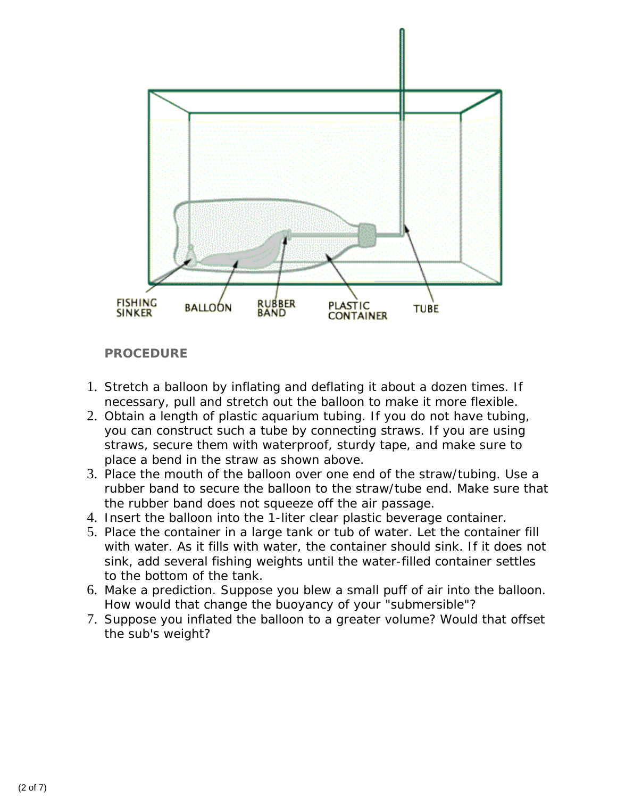

# **PROCEDURE**

- 1. Stretch a balloon by inflating and deflating it about a dozen times. If necessary, pull and stretch out the balloon to make it more flexible.
- 2. Obtain a length of plastic aquarium tubing. If you do not have tubing, you can construct such a tube by connecting straws. If you are using straws, secure them with waterproof, sturdy tape, and make sure to place a bend in the straw as shown above.
- 3. Place the mouth of the balloon over one end of the straw/tubing. Use a rubber band to secure the balloon to the straw/tube end. Make sure that the rubber band does not squeeze off the air passage.
- 4. Insert the balloon into the 1-liter clear plastic beverage container.
- 5. Place the container in a large tank or tub of water. Let the container fill with water. As it fills with water, the container should sink. If it does not sink, add several fishing weights until the water-filled container settles to the bottom of the tank.
- 6. Make a prediction. Suppose you blew a small puff of air into the balloon. How would that change the buoyancy of your "submersible"?
- 7. Suppose you inflated the balloon to a greater volume? Would that offset the sub's weight?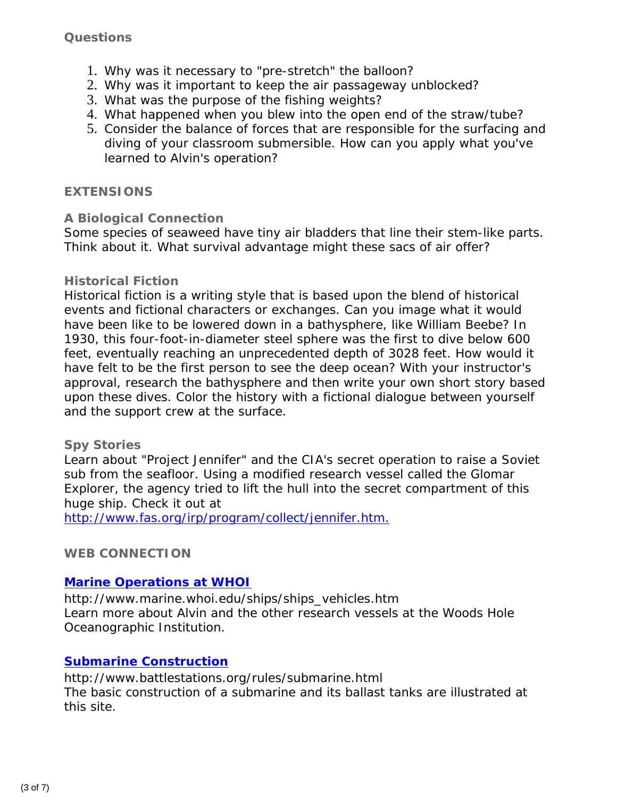# **Questions**

- 1. Why was it necessary to "pre-stretch" the balloon?
- 2. Why was it important to keep the air passageway unblocked?
- 3. What was the purpose of the fishing weights?
- 4. What happened when you blew into the open end of the straw/tube?
- 5. Consider the balance of forces that are responsible for the surfacing and diving of your classroom submersible. How can you apply what you've learned to *Alvin's* operation?

#### **EXTENSIONS**

#### **A Biological Connection**

Some species of seaweed have tiny air bladders that line their stem-like parts. Think about it. What survival advantage might these sacs of air offer?

#### **Historical Fiction**

Historical fiction is a writing style that is based upon the blend of historical events and fictional characters or exchanges. Can you image what it would have been like to be lowered down in a bathysphere, like William Beebe? In 1930, this four-foot-in-diameter steel sphere was the first to dive below 600 feet, eventually reaching an unprecedented depth of 3028 feet. How would it have felt to be the first person to see the deep ocean? With your instructor's approval, research the bathysphere and then write your own short story based upon these dives. Color the history with a fictional dialogue between yourself and the support crew at the surface.

#### **Spy Stories**

Learn about "Project Jennifer" and the CIA's secret operation to raise a Soviet sub from the seafloor. Using a modified research vessel called the *Glomar Explorer*, the agency tried to lift the hull into the secret compartment of this huge ship. Check it out at

[http://www.fas.org/irp/program/collect/jennifer.htm.](http://www.fas.org/irp/program/collect/jennifer.htm)

# **WEB CONNECTION**

# **[Marine Operations at WHOI](http://www.marine.whoi.edu/ships/ships_vehicles.htm)**

*http://www.marine.whoi.edu/ships/ships\_vehicles.htm* Learn more about Alvin and the other research vessels at the Woods Hole Oceanographic Institution.

# **[Submarine Construction](http://www.battlestations.org/rules/submarine.html)**

# *http://www.battlestations.org/rules/submarine.html* The basic construction of a submarine and its ballast tanks are illustrated at this site.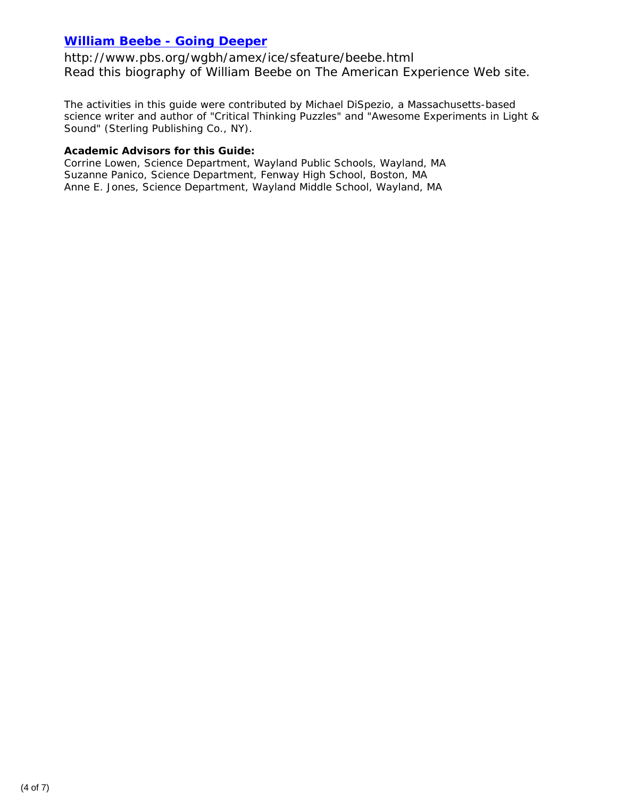# **[William Beebe - Going Deeper](http://www.pbs.org/wgbh/amex/ice/sfeature/beebe.html)**

*http://www.pbs.org/wgbh/amex/ice/sfeature/beebe.html* Read this biography of William Beebe on *The American Experience* Web site.

The activities in this guide were contributed by Michael DiSpezio, a Massachusetts-based science writer and author of "Critical Thinking Puzzles" and "Awesome Experiments in Light & Sound" (Sterling Publishing Co., NY).

#### **Academic Advisors for this Guide:**

Corrine Lowen, Science Department, Wayland Public Schools, Wayland, MA Suzanne Panico, Science Department, Fenway High School, Boston, MA Anne E. Jones, Science Department, Wayland Middle School, Wayland, MA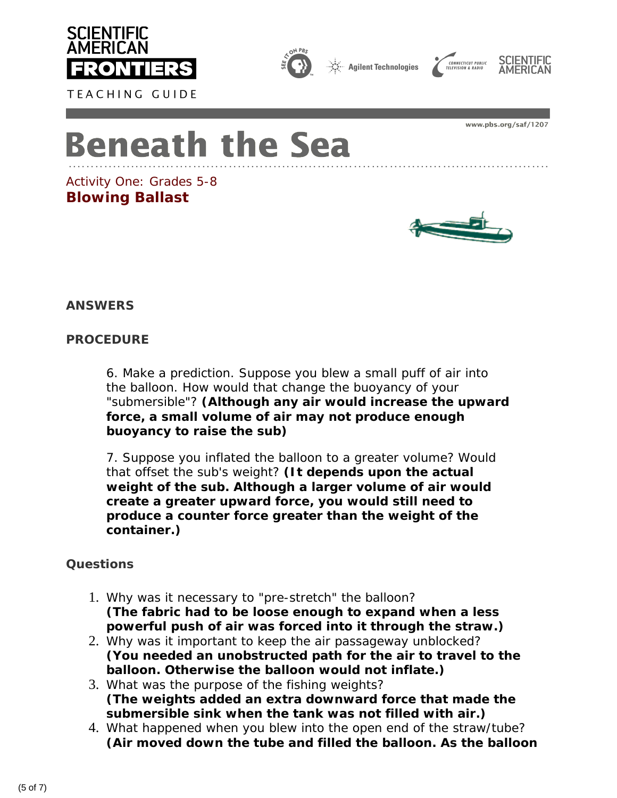

TEACHING GUIDE



Agilent Technologies





www.pbs.org/saf/1207

# **Beneath the Sea**

*Activity One: Grades 5-8* **Blowing Ballast**



**ANSWERS**

# **PROCEDURE**

6. Make a prediction. Suppose you blew a small puff of air into the balloon. How would that change the buoyancy of your "submersible"? **(Although any air would increase the upward force, a small volume of air may not produce enough buoyancy to raise the sub)**

7. Suppose you inflated the balloon to a greater volume? Would that offset the sub's weight? **(It depends upon the actual weight of the sub. Although a larger volume of air would create a greater upward force, you would still need to produce a counter force greater than the weight of the container.)** 

# **Questions**

- 1. Why was it necessary to "pre-stretch" the balloon? **(The fabric had to be loose enough to expand when a less powerful push of air was forced into it through the straw.)**
- 2. Why was it important to keep the air passageway unblocked? **(You needed an unobstructed path for the air to travel to the balloon. Otherwise the balloon would not inflate.)**
- 3. What was the purpose of the fishing weights? **(The weights added an extra downward force that made the submersible sink when the tank was not filled with air.)**
- 4. What happened when you blew into the open end of the straw/tube? **(Air moved down the tube and filled the balloon. As the balloon**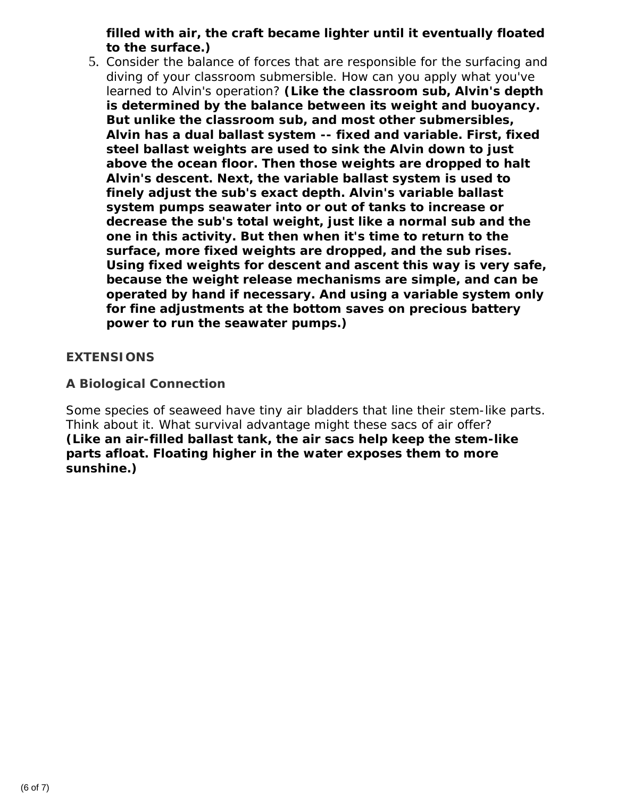# **filled with air, the craft became lighter until it eventually floated to the surface.)**

5. Consider the balance of forces that are responsible for the surfacing and diving of your classroom submersible. How can you apply what you've learned to Alvin's operation? **(Like the classroom sub, Alvin's depth is determined by the balance between its weight and buoyancy. But unlike the classroom sub, and most other submersibles, Alvin has a dual ballast system -- fixed and variable. First, fixed steel ballast weights are used to sink the Alvin down to just above the ocean floor. Then those weights are dropped to halt Alvin's descent. Next, the variable ballast system is used to finely adjust the sub's exact depth. Alvin's variable ballast system pumps seawater into or out of tanks to increase or decrease the sub's total weight, just like a normal sub and the one in this activity. But then when it's time to return to the surface, more fixed weights are dropped, and the sub rises. Using fixed weights for descent and ascent this way is very safe, because the weight release mechanisms are simple, and can be operated by hand if necessary. And using a variable system only for fine adjustments at the bottom saves on precious battery power to run the seawater pumps.)** 

# **EXTENSIONS**

# **A Biological Connection**

Some species of seaweed have tiny air bladders that line their stem-like parts. Think about it. What survival advantage might these sacs of air offer? **(Like an air-filled ballast tank, the air sacs help keep the stem-like parts afloat. Floating higher in the water exposes them to more sunshine.)**